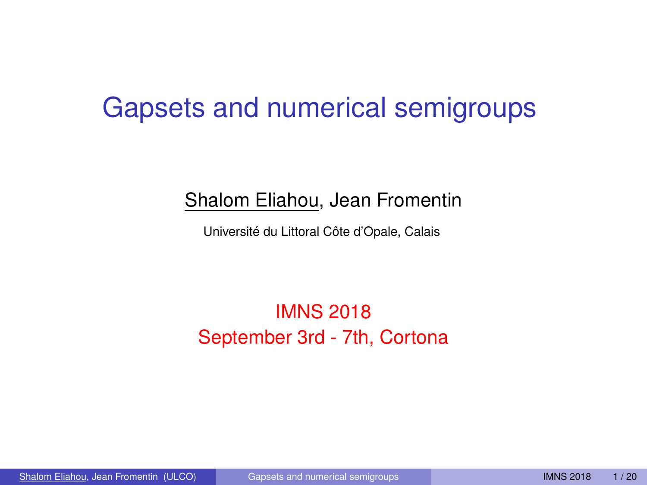### <span id="page-0-0"></span>Gapsets and numerical semigroups

#### Shalom Eliahou, Jean Fromentin

Université du Littoral Côte d'Opale, Calais

### IMNS 2018 September 3rd - 7th, Cortona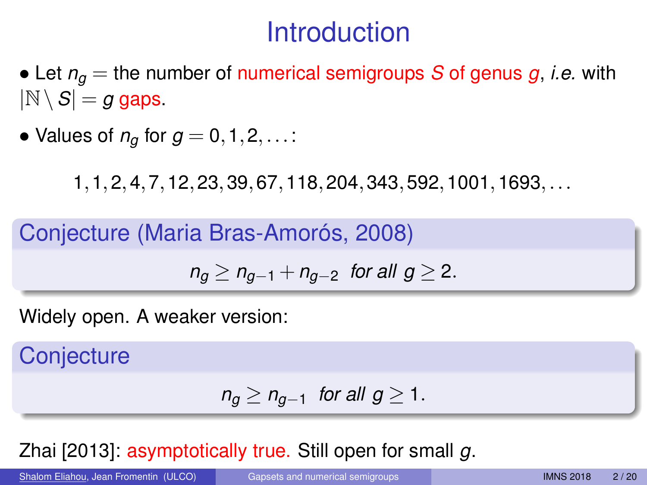### **Introduction**

- Let  $n_q$  = the number of numerical semigroups S of genus  $q$ , *i.e.* with  $|\mathbb{N} \setminus S| = q$  gaps.
- Values of  $n_q$  for  $q = 0, 1, 2, \ldots$ :

1,1,2,4,7,12,23,39,67,118,204,343,592,1001,1693,...

Conjecture (Maria Bras-Amorós, 2008)

$$
n_g \ge n_{g-1} + n_{g-2} \text{ for all } g \ge 2.
$$

Widely open. A weaker version:

**Conjecture** 

$$
n_g \geq n_{g-1} \text{ for all } g \geq 1.
$$

#### Zhai [2013]: asymptotically true. Still open for small *g*.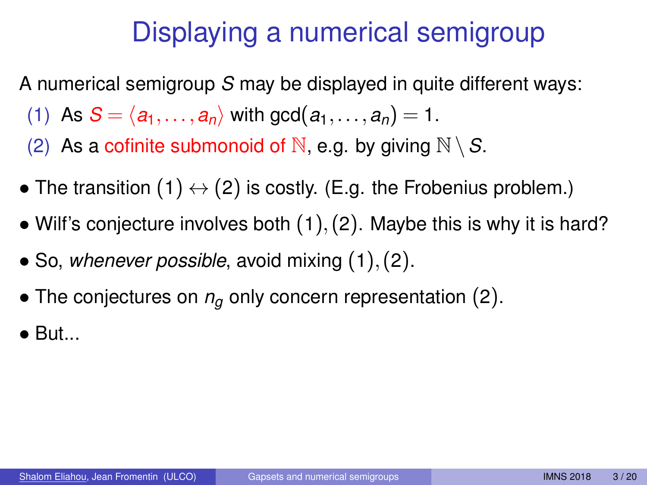## Displaying a numerical semigroup

A numerical semigroup *S* may be displayed in quite different ways:

- (1) As  $S = \langle a_1, \ldots, a_n \rangle$  with gcd $(a_1, \ldots, a_n) = 1$ .
- (2) As a cofinite submonoid of  $\mathbb{N}$ , e.g. by giving  $\mathbb{N} \setminus S$ .
- The transition  $(1) \leftrightarrow (2)$  is costly. (E.g. the Frobenius problem.)
- Wilf's conjecture involves both  $(1), (2)$ . Maybe this is why it is hard?
- So, *whenever possible*, avoid mixing (1),(2).
- The conjectures on  $n_q$  only concern representation (2).
- $\bullet$  But...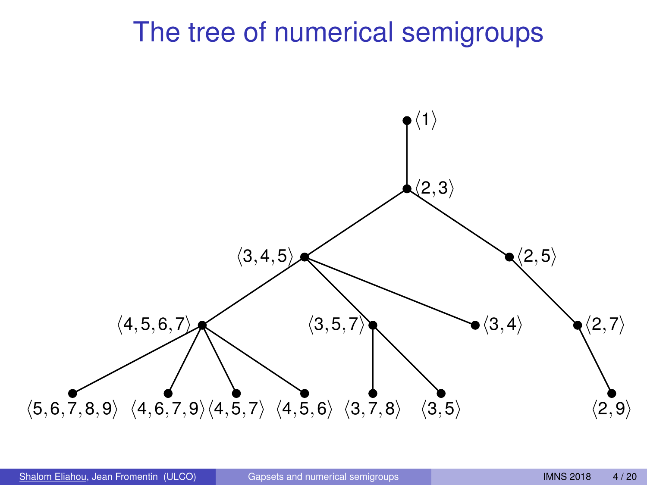### The tree of numerical semigroups

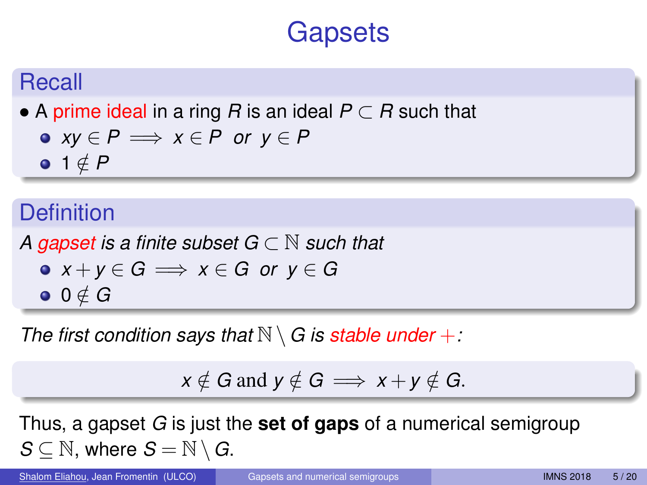# **Gapsets**

#### Recall

• A prime ideal in a ring *R* is an ideal *P* ⊂ *R* such that

• 
$$
xy \in P \implies x \in P \text{ or } y \in P
$$

$$
\bullet\ \ 1\notin P
$$

### **Definition**

*A gapset is a finite subset G* ⊂ N *such that*  $\bullet$  *x* + *y* ∈ *G*  $\implies$  *x* ∈ *G or y* ∈ *G*  $\bullet$  0  $\notin G$ 

*The first condition says that*  $\mathbb{N} \setminus G$  *is stable under*  $+$ *:* 

$$
x \notin G \text{ and } y \notin G \implies x + y \notin G.
$$

Thus, a gapset *G* is just the **set of gaps** of a numerical semigroup  $S \subseteq \mathbb{N}$ , where  $S = \mathbb{N} \setminus G$ .

Shalom Eliahou, Jean Fromentin (ULCO) [Gapsets and numerical semigroups](#page-0-0) IMNS 2018 5/20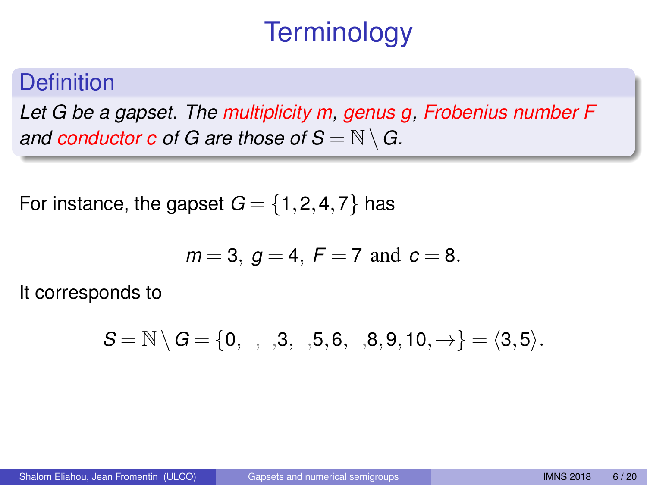# **Terminology**

#### **Definition**

*Let G be a gapset. The multiplicity m, genus g, Frobenius number F and conductor c of G are those of*  $S = \mathbb{N} \setminus G$ *.* 

For instance, the gapset  $G = \{1, 2, 4, 7\}$  has

$$
m=3
$$
,  $g=4$ ,  $F=7$  and  $c=8$ .

It corresponds to

 $S = \mathbb{N} \setminus G = \{0, 3, 3, 5, 6, 8, 9, 10, \rightarrow\} = \langle 3, 5 \rangle.$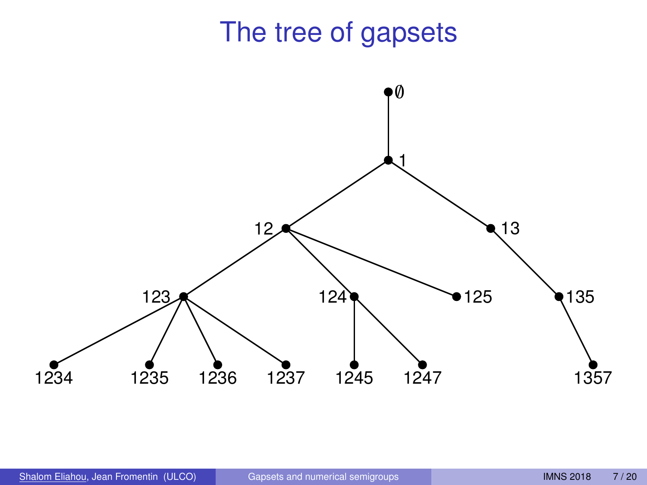# The tree of gapsets

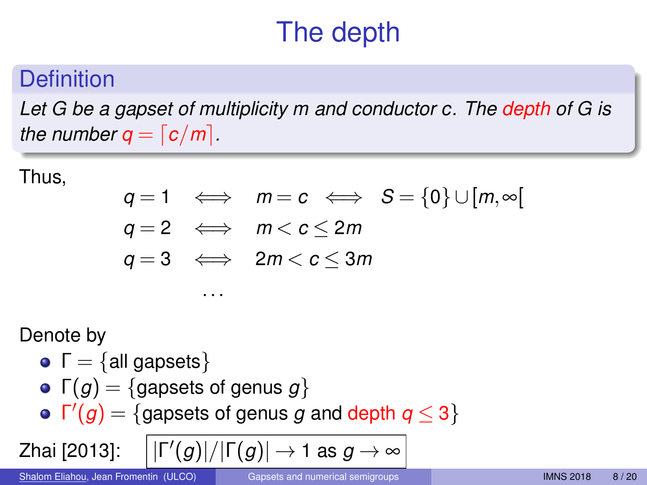# The depth

### **Definition**

*Let G be a gapset of multiplicity m and conductor c. The depth of G is the number*  $q = \lfloor c/m \rfloor$ .

Thus,

$$
q=1 \iff m=c \iff S=\{0\} \cup [m,\infty[
$$
  

$$
q=2 \iff m
$$

$$
q=3 \iff 2m < c \leq 3m
$$

...

Denote by

\n- $$
\Gamma = \{\text{all gapsets}\}
$$
\n- $\Gamma(g) = \{\text{gapsets of genus } g\}$
\n- $\Gamma'(g) = \{\text{gapsets of genus } g \text{ and depth } g \leq 3\}$
\n
\nZhai [2013]:  $\boxed{|\Gamma'(g)|/|\Gamma(g)| \rightarrow 1 \text{ as } g \rightarrow \infty}$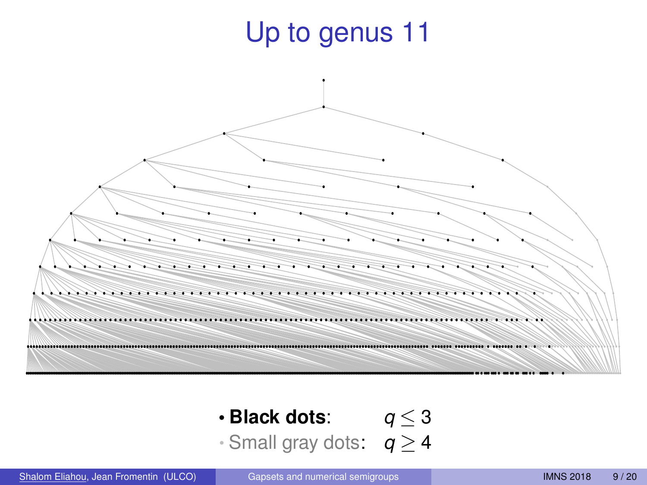# Up to genus 11



**Black dots**: *q* ≤ 3  $\cdot$  Small gray dots:  $q \ge 4$ 

Shalom Eliahou, Jean Fromentin (ULCO) [Gapsets and numerical semigroups](#page-0-0) IMMS 2018 9/20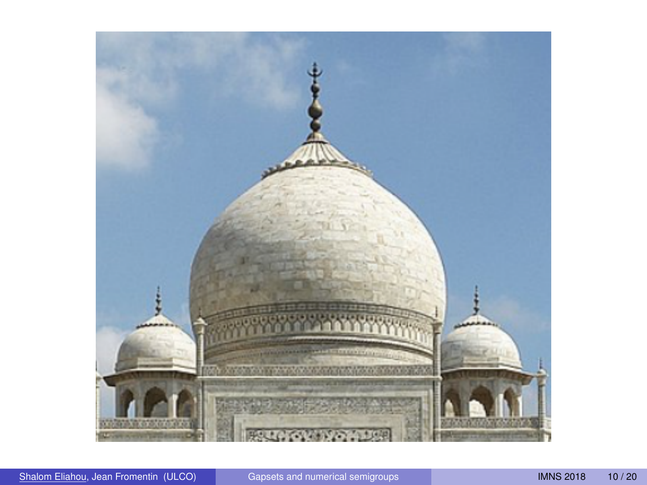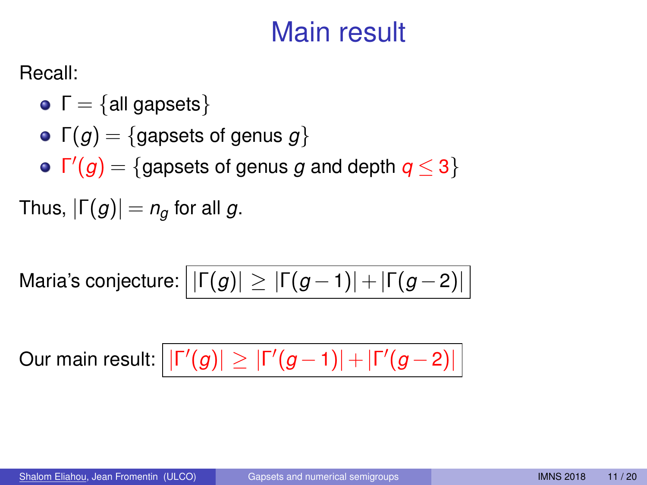# Main result

Recall:

- $\bullet \Gamma = \{ \text{all qapses} \}$
- $\circ$  Γ(*g*) = {gapsets of genus *g*}
- $\lceil G'(g) \rceil = \{$  gapsets of genus *g* and depth  $q \leq 3\}$

Thus,  $|Γ(g)| = n_q$  for all *g*.

$$
\text{Maria's conjecture: } \boxed{|\Gamma(g)| \geq |\Gamma(g-1)| + |\Gamma(g-2)|}
$$

Our main result: |Γ 0 (*g*)| ≥ |Γ 0 (*g* −1)|+|Γ 0 (*g* −2)|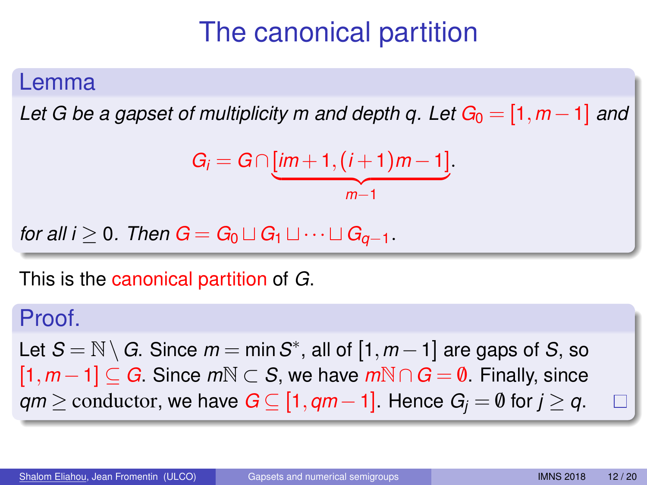# The canonical partition

#### Lemma

*Let G be a gapset of multiplicity m and depth q. Let*  $G_0 = [1, m - 1]$  *and* 

$$
G_i = G \cap \underbrace{\left[im+1,(i+1)m-1\right]}_{m-1}.
$$

*for all i*  $> 0$ *. Then*  $G = G_0 \sqcup G_1 \sqcup \cdots \sqcup G_{q-1}$ .

This is the canonical partition of *G*.

#### Proof.

Let  $S = \mathbb{N} \setminus G$ . Since  $m = \min S^*$ , all of  $[1, m-1]$  are gaps of *S*, so  $[1,m-1]$  ⊂ *G*. Since  $mN \subset S$ , we have  $mN \cap G = \emptyset$ . Finally, since *qm* ≥ conductor, we have *G* ⊆ [1, *qm* − 1]. Hence *G<sub>i</sub>* = 0 for *j* ≥ *q*.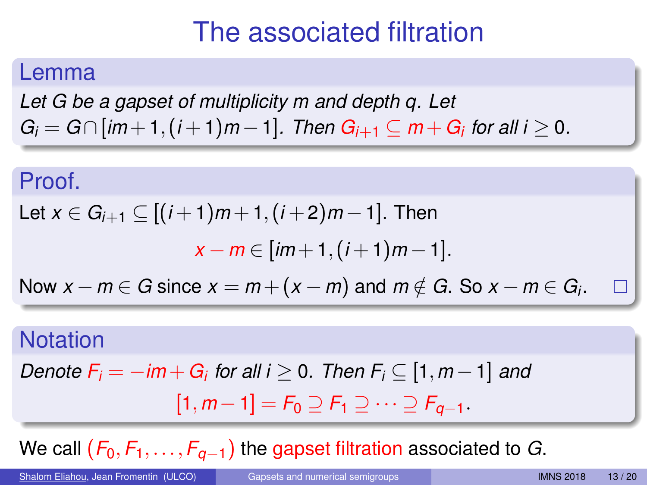## The associated filtration

#### Lemma

*Let G be a gapset of multiplicity m and depth q. Let*  $G_i = G \cap [im+1,(i+1)m-1]$ . Then  $G_{i+1} \subseteq m+G_i$  for all  $i \geq 0$ .

#### Proof.

Let 
$$
x \in G_{i+1} \subseteq [(i+1)m+1, (i+2)m-1]
$$
. Then

$$
x-m\in [im+1,(i+1)m-1].
$$

Now  $x - m \in G$  since  $x = m + (x - m)$  and  $m \notin G$ . So  $x - m \in G$ *i*.

#### **Notation**

Denote 
$$
F_i = -im + G_i
$$
 for all  $i \ge 0$ . Then  $F_i \subseteq [1, m-1]$  and  

$$
[1, m-1] = F_0 \supseteq F_1 \supseteq \cdots \supseteq F_{q-1}.
$$

We call (*F*0,*F*1,...,*Fq*−1) the gapset filtration associated to *G*.

П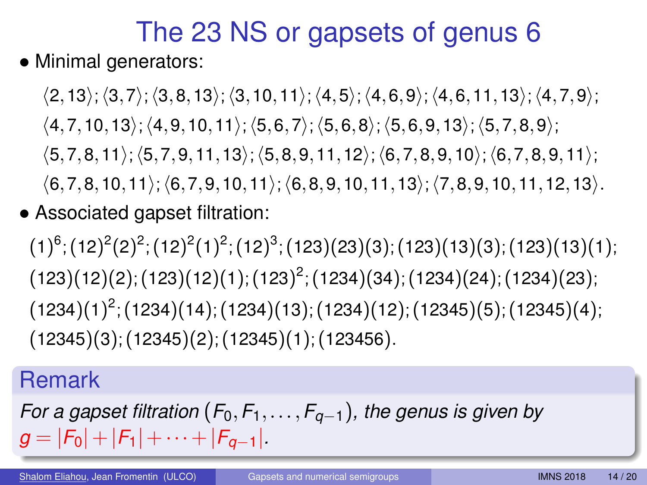# The 23 NS or gapsets of genus 6

#### • Minimal generators:

 $\langle 2,13 \rangle$ ;  $\langle 3,7 \rangle$ ;  $\langle 3,8,13 \rangle$ ;  $\langle 3,10,11 \rangle$ ;  $\langle 4,5 \rangle$ ;  $\langle 4,6,9 \rangle$ ;  $\langle 4,6,11,13 \rangle$ ;  $\langle 4,7,9 \rangle$ ;  $\langle 4,7,10,13 \rangle$ ;  $\langle 4,9,10,11 \rangle$ ;  $\langle 5,6,7 \rangle$ ;  $\langle 5,6,8 \rangle$ ;  $\langle 5,6,9,13 \rangle$ ;  $\langle 5,7,8,9 \rangle$ ;  $\langle 5,7,8,11\rangle$ ;  $\langle 5,7,9,11,13\rangle$ ;  $\langle 5,8,9,11,12\rangle$ ;  $\langle 6,7,8,9,10\rangle$ ;  $\langle 6,7,8,9,11\rangle$ ;  $\langle 6,7,8,10,11\rangle$ ;  $\langle 6,7,9,10,11\rangle$ ;  $\langle 6,8,9,10,11,13\rangle$ ;  $\langle 7,8,9,10,11,12,13\rangle$ .

• Associated gapset filtration:

 $(1)^{6};(12)^{2}(2)^{2};(12)^{2}(1)^{2};(12)^{3};(123)(23)(3);(123)(13)(3);(123)(13)(1);$  $(123)(12)(2)$ ;  $(123)(12)(1)$ ;  $(123)^2$ ;  $(1234)(34)$ ;  $(1234)(24)$ ;  $(1234)(23)$ ;  $(1234)(1)^2$ ;  $(1234)(14)$ ;  $(1234)(13)$ ;  $(1234)(12)$ ;  $(12345)(5)$ ;  $(12345)(4)$ ; (12345)(3); (12345)(2); (12345)(1); (123456).

#### Remark

*For a gapset filtration* (*F*0,*F*1,...,*Fq*−1)*, the genus is given by*  $g = |F_0| + |F_1| + \cdots + |F_{a-1}|$ .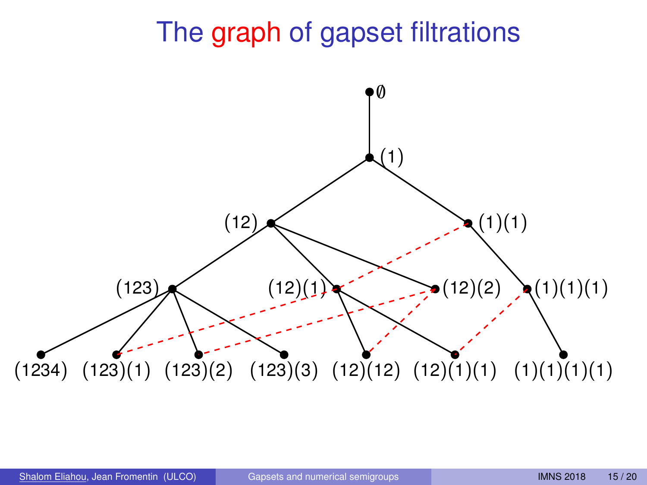### The graph of gapset filtrations

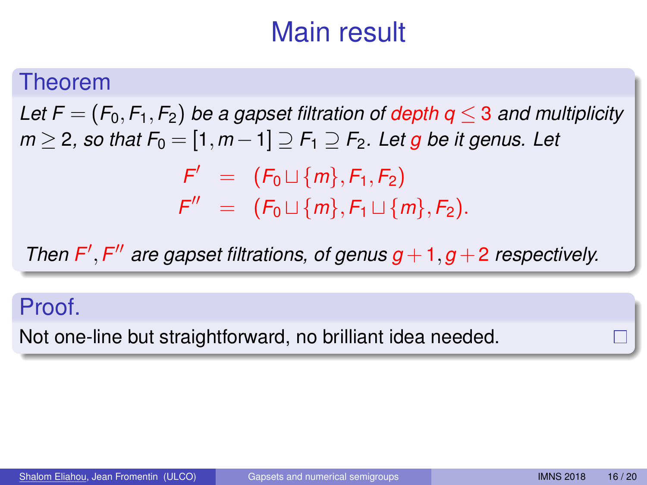# Main result

#### Theorem

*Let*  $F = (F_0, F_1, F_2)$  *be a gapset filtration of depth q*  $\leq$  3 *and multiplicity*  $m \geq 2$ , so that  $F_0 = [1, m-1] \supseteq F_1 \supseteq F_2$ . Let *g* be it genus. Let

$$
F' = (F_0 \sqcup \{m\}, F_1, F_2)
$$
  

$$
F'' = (F_0 \sqcup \{m\}, F_1 \sqcup \{m\}, F_2).
$$

*Then*  $F'$ ,  $F''$  are gapset filtrations, of genus  $g + 1$ ,  $g + 2$  respectively.

#### Proof.

Not one-line but straightforward, no brilliant idea needed.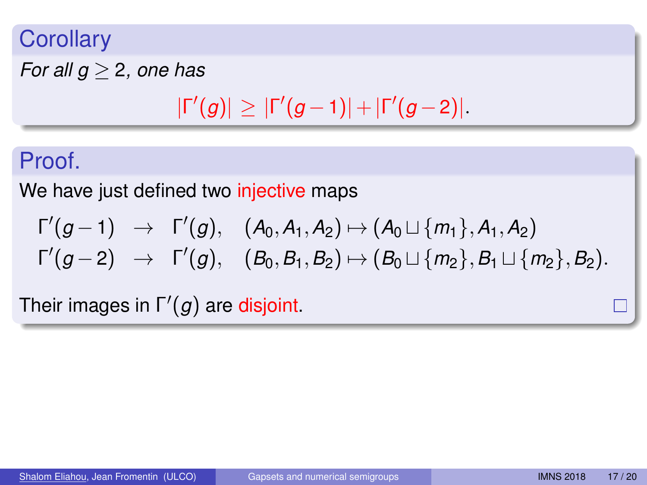**Corollary** *For all g* ≥ 2*, one has*  $|\Gamma'(g)| \geq |\Gamma'(g-1)| + |\Gamma'(g-2)|.$ 

### Proof.

We have just defined two injective maps

$$
\begin{array}{lcl} \Gamma'(g-1) & \to & \Gamma'(g), \quad (A_0,A_1,A_2) \mapsto (A_0 \sqcup \{m_1\}, A_1,A_2) \\ \Gamma'(g-2) & \to & \Gamma'(g), \quad (B_0,B_1,B_2) \mapsto (B_0 \sqcup \{m_2\}, B_1 \sqcup \{m_2\}, B_2). \end{array}
$$

Their images in  $\Gamma'(g)$  are disjoint.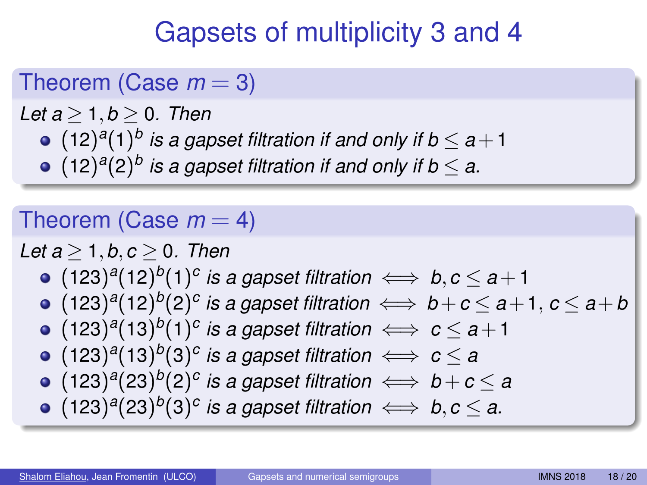# Gapsets of multiplicity 3 and 4

### Theorem (Case  $m = 3$ )

#### *Let a* ≥ 1,*b* ≥ 0*. Then*

- $(12)^a (1)^b$  is a gapset filtration if and only if  $b \leq a+1$
- $(12)^a (2)^b$  is a gapset filtration if and only if  $b \leq a.$

### Theorem (Case  $m = 4$ ) *Let a* ≥ 1,*b*,*c* ≥ 0*. Then*  $(123)^a (12)^b (1)^c$  is a gapset filtration  $\iff$   $b, c \leq a+1$  $(123)^a (12)^b (2)^c$  is a gapset filtration  $\iff$   $b+c\leq$   $a+1,$   $c\leq$   $a+b$  $(123)^a (13)^b (1)^c$  is a gapset filtration  $\iff c \leq a+1$  $(123)^a (13)^b (3)^c$  is a gapset filtration  $\iff c \leq a$  $(123)^a(23)^b(2)^c$  is a gapset filtration  $\iff$   $b+c \leq a$  $(123)^a(23)^b(3)^c$  is a gapset filtration  $\iff$  b,  $c \leq a$ .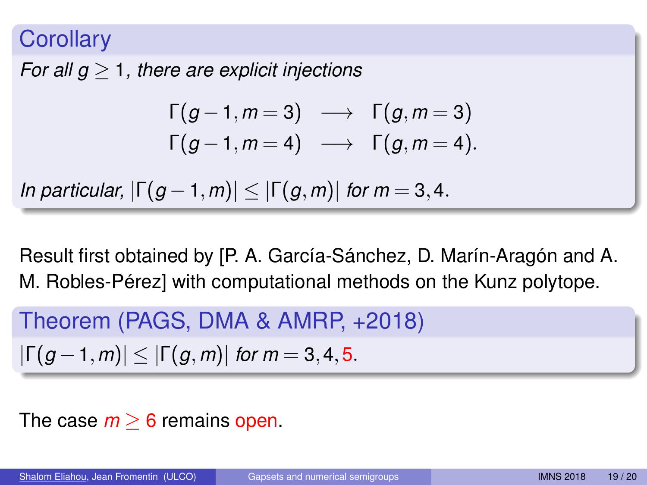#### **Corollary**

*For all g* ≥ 1*, there are explicit injections*

$$
\begin{array}{rcl} \Gamma(g-1,m=3) & \longrightarrow & \Gamma(g,m=3) \\ \Gamma(g-1,m=4) & \longrightarrow & \Gamma(g,m=4). \end{array}
$$

*In particular,*  $|\Gamma(g-1,m)| < |\Gamma(g,m)|$  *for m* = 3,4.

Result first obtained by [P. A. García-Sánchez, D. Marín-Aragón and A. M. Robles-Pérez] with computational methods on the Kunz polytope.

Theorem (PAGS, DMA & AMRP, +2018)  $|\Gamma(q-1,m)| \leq |\Gamma(q,m)|$  for  $m = 3, 4, 5$ .

The case  $m > 6$  remains open.

Shalom Eliahou, Jean Fromentin (ULCO) [Gapsets and numerical semigroups](#page-0-0) IMNS 2018 19/20